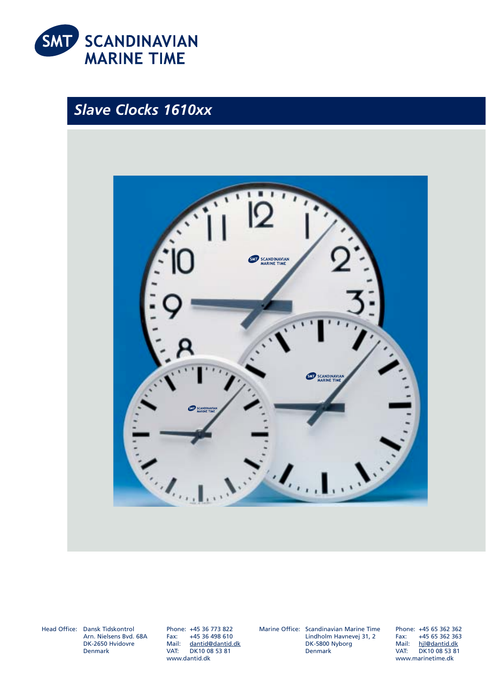

# *Slave Clocks 1610xx*



Head Office: Dansk Tidskontrol Arn. Nielsens Bvd. 68A DK-2650 Hvidovre Denmark

Phone: +45 36 773 822 +45 36 498 610 Mail: dantid@dantid.dk VAT: DK10 08 53 81 www.dantid.dk

Marine Office: Scandinavian Marine Time

Lindholm Havnevej 31, 2 DK-5800 Nyborg Denmark

Phone: +45 65 362 362 Fax: +45 65 362 363 Mail: hjl@dantid.dk VAT: DK10 08 53 81 www.marinetime.dk